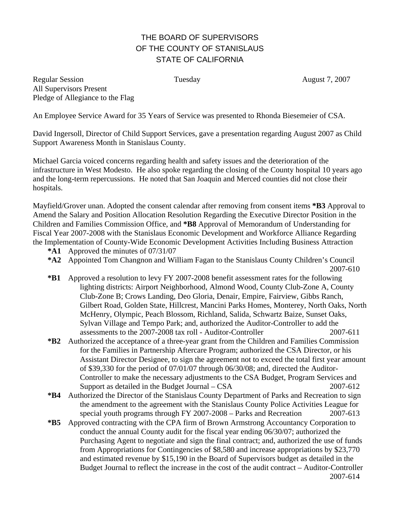## THE BOARD OF SUPERVISORS OF THE COUNTY OF STANISLAUS STATE OF CALIFORNIA

Regular Session **Tuesday August 7, 2007** Tuesday **August 7, 2007** All Supervisors Present Pledge of Allegiance to the Flag

An Employee Service Award for 35 Years of Service was presented to Rhonda Biesemeier of CSA.

David Ingersoll, Director of Child Support Services, gave a presentation regarding August 2007 as Child Support Awareness Month in Stanislaus County.

Michael Garcia voiced concerns regarding health and safety issues and the deterioration of the infrastructure in West Modesto. He also spoke regarding the closing of the County hospital 10 years ago and the long-term repercussions. He noted that San Joaquin and Merced counties did not close their hospitals.

Mayfield/Grover unan. Adopted the consent calendar after removing from consent items **\*B3** Approval to Amend the Salary and Position Allocation Resolution Regarding the Executive Director Position in the Children and Families Commission Office, and **\*B8** Approval of Memorandum of Understanding for Fiscal Year 2007-2008 with the Stanislaus Economic Development and Workforce Alliance Regarding the Implementation of County-Wide Economic Development Activities Including Business Attraction

- **\*A1** Approved the minutes of 07/31/07
- **\*A2** Appointed Tom Changnon and William Fagan to the Stanislaus County Children's Council
- 2007-610
- **\*B1** Approved a resolution to levy FY 2007-2008 benefit assessment rates for the following lighting districts: Airport Neighborhood, Almond Wood, County Club-Zone A, County Club-Zone B; Crows Landing, Deo Gloria, Denair, Empire, Fairview, Gibbs Ranch, Gilbert Road, Golden State, Hillcrest, Mancini Parks Homes, Monterey, North Oaks, North McHenry, Olympic, Peach Blossom, Richland, Salida, Schwartz Baize, Sunset Oaks, Sylvan Village and Tempo Park; and, authorized the Auditor-Controller to add the assessments to the 2007-2008 tax roll - Auditor-Controller 2007-611
- **\*B2** Authorized the acceptance of a three-year grant from the Children and Families Commission for the Families in Partnership Aftercare Program; authorized the CSA Director, or his Assistant Director Designee, to sign the agreement not to exceed the total first year amount of \$39,330 for the period of 07/01/07 through 06/30/08; and, directed the Auditor-Controller to make the necessary adjustments to the CSA Budget, Program Services and Support as detailed in the Budget Journal – CSA 2007-612
- **\*B4** Authorized the Director of the Stanislaus County Department of Parks and Recreation to sign the amendment to the agreement with the Stanislaus County Police Activities League for special youth programs through FY 2007-2008 – Parks and Recreation 2007-613
- **\*B5** Approved contracting with the CPA firm of Brown Armstrong Accountancy Corporation to conduct the annual County audit for the fiscal year ending 06/30/07; authorized the Purchasing Agent to negotiate and sign the final contract; and, authorized the use of funds from Appropriations for Contingencies of \$8,580 and increase appropriations by \$23,770 and estimated revenue by \$15,190 in the Board of Supervisors budget as detailed in the Budget Journal to reflect the increase in the cost of the audit contract – Auditor-Controller 2007-614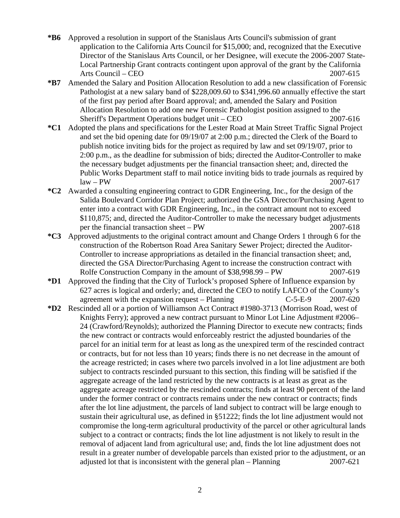- **\*B6** Approved a resolution in support of the Stanislaus Arts Council's submission of grant application to the California Arts Council for \$15,000; and, recognized that the Executive Director of the Stanislaus Arts Council, or her Designee, will execute the 2006-2007 State-Local Partnership Grant contracts contingent upon approval of the grant by the California Arts Council – CEO 2007-615
- **\*B7** Amended the Salary and Position Allocation Resolution to add a new classification of Forensic Pathologist at a new salary band of \$228,009.60 to \$341,996.60 annually effective the start of the first pay period after Board approval; and, amended the Salary and Position Allocation Resolution to add one new Forensic Pathologist position assigned to the Sheriff's Department Operations budget unit – CEO 2007-616
- **\*C1** Adopted the plans and specifications for the Lester Road at Main Street Traffic Signal Project and set the bid opening date for 09/19/07 at 2:00 p.m.; directed the Clerk of the Board to publish notice inviting bids for the project as required by law and set 09/19/07, prior to 2:00 p.m., as the deadline for submission of bids; directed the Auditor-Controller to make the necessary budget adjustments per the financial transaction sheet; and, directed the Public Works Department staff to mail notice inviting bids to trade journals as required by  $\text{law} - \text{PW}$  2007-617
- **\*C2** Awarded a consulting engineering contract to GDR Engineering, Inc., for the design of the Salida Boulevard Corridor Plan Project; authorized the GSA Director/Purchasing Agent to enter into a contract with GDR Engineering, Inc., in the contract amount not to exceed \$110,875; and, directed the Auditor-Controller to make the necessary budget adjustments per the financial transaction sheet – PW 2007-618
- **\*C3** Approved adjustments to the original contract amount and Change Orders 1 through 6 for the construction of the Robertson Road Area Sanitary Sewer Project; directed the Auditor-Controller to increase appropriations as detailed in the financial transaction sheet; and, directed the GSA Director/Purchasing Agent to increase the construction contract with Rolfe Construction Company in the amount of \$38,998.99 – PW 2007-619
- **\*D1** Approved the finding that the City of Turlock's proposed Sphere of Influence expansion by 627 acres is logical and orderly; and, directed the CEO to notify LAFCO of the County's agreement with the expansion request – Planning C-5-E-9 2007-620
- **\*D2** Rescinded all or a portion of Williamson Act Contract #1980-3713 (Morrison Road, west of Knights Ferry); approved a new contract pursuant to Minor Lot Line Adjustment #2006– 24 (Crawford/Reynolds); authorized the Planning Director to execute new contracts; finds the new contract or contracts would enforceably restrict the adjusted boundaries of the parcel for an initial term for at least as long as the unexpired term of the rescinded contract or contracts, but for not less than 10 years; finds there is no net decrease in the amount of the acreage restricted; in cases where two parcels involved in a lot line adjustment are both subject to contracts rescinded pursuant to this section, this finding will be satisfied if the aggregate acreage of the land restricted by the new contracts is at least as great as the aggregate acreage restricted by the rescinded contracts; finds at least 90 percent of the land under the former contract or contracts remains under the new contract or contracts; finds after the lot line adjustment, the parcels of land subject to contract will be large enough to sustain their agricultural use, as defined in §51222; finds the lot line adjustment would not compromise the long-term agricultural productivity of the parcel or other agricultural lands subject to a contract or contracts; finds the lot line adjustment is not likely to result in the removal of adjacent land from agricultural use; and, finds the lot line adjustment does not result in a greater number of developable parcels than existed prior to the adjustment, or an adjusted lot that is inconsistent with the general plan – Planning 2007-621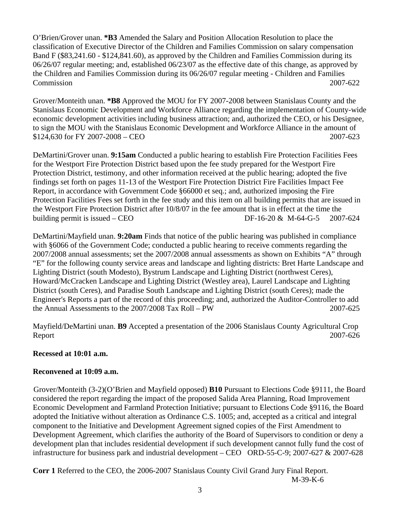O'Brien/Grover unan. **\*B3** Amended the Salary and Position Allocation Resolution to place the classification of Executive Director of the Children and Families Commission on salary compensation Band F (\$83,241.60 - \$124,841.60), as approved by the Children and Families Commission during its 06/26/07 regular meeting; and, established 06/23/07 as the effective date of this change, as approved by the Children and Families Commission during its 06/26/07 regular meeting - Children and Families Commission 2007-622

Grover/Monteith unan. **\*B8** Approved the MOU for FY 2007-2008 between Stanislaus County and the Stanislaus Economic Development and Workforce Alliance regarding the implementation of County-wide economic development activities including business attraction; and, authorized the CEO, or his Designee, to sign the MOU with the Stanislaus Economic Development and Workforce Alliance in the amount of \$124,630 for FY 2007-2008 – CEO 2007-623

DeMartini/Grover unan. **9:15am** Conducted a public hearing to establish Fire Protection Facilities Fees for the Westport Fire Protection District based upon the fee study prepared for the Westport Fire Protection District, testimony, and other information received at the public hearing; adopted the five findings set forth on pages 11-13 of the Westport Fire Protection District Fire Facilities Impact Fee Report, in accordance with Government Code §66000 et seq.; and, authorized imposing the Fire Protection Facilities Fees set forth in the fee study and this item on all building permits that are issued in the Westport Fire Protection District after 10/8/07 in the fee amount that is in effect at the time the building permit is issued – CEO DF-16-20 & M-64-G-5 2007-624

DeMartini/Mayfield unan. **9:20am** Finds that notice of the public hearing was published in compliance with §6066 of the Government Code; conducted a public hearing to receive comments regarding the 2007/2008 annual assessments; set the 2007/2008 annual assessments as shown on Exhibits "A" through "E" for the following county service areas and landscape and lighting districts: Bret Harte Landscape and Lighting District (south Modesto), Bystrum Landscape and Lighting District (northwest Ceres), Howard/McCracken Landscape and Lighting District (Westley area), Laurel Landscape and Lighting District (south Ceres), and Paradise South Landscape and Lighting District (south Ceres); made the Engineer's Reports a part of the record of this proceeding; and, authorized the Auditor-Controller to add the Annual Assessments to the 2007/2008 Tax Roll – PW 2007-625

Mayfield/DeMartini unan. **B9** Accepted a presentation of the 2006 Stanislaus County Agricultural Crop Report 2007-626

## **Recessed at 10:01 a.m.**

## **Reconvened at 10:09 a.m.**

Grover/Monteith (3-2)(O'Brien and Mayfield opposed) **B10** Pursuant to Elections Code §9111, the Board considered the report regarding the impact of the proposed Salida Area Planning, Road Improvement Economic Development and Farmland Protection Initiative; pursuant to Elections Code §9116, the Board adopted the Initiative without alteration as Ordinance C.S. 1005; and, accepted as a critical and integral component to the Initiative and Development Agreement signed copies of the First Amendment to Development Agreement, which clarifies the authority of the Board of Supervisors to condition or deny a development plan that includes residential development if such development cannot fully fund the cost of infrastructure for business park and industrial development – CEO ORD-55-C-9; 2007-627 & 2007-628

**Corr 1** Referred to the CEO, the 2006-2007 Stanislaus County Civil Grand Jury Final Report. M-39-K-6